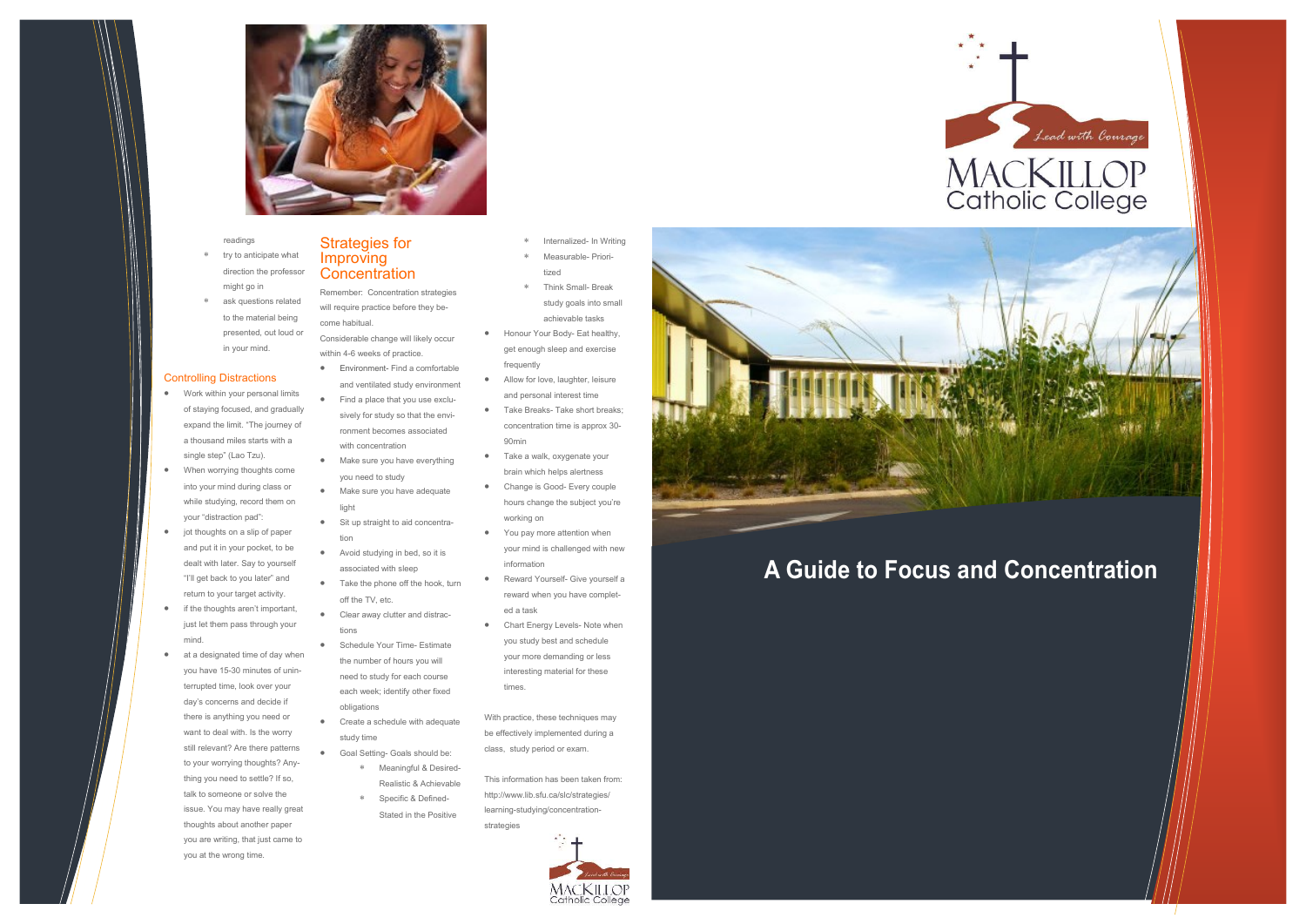## **A Guide to Focus and Concentration**

# MACKILLOP<br>Catholic College

Lead with Courage





readings

- try to anticipate what direction the professor might go in
- ask questions related to the material being presented, out loud or in your mind.

#### Controlling Distractions

#### Strategies for Improving **Concentration**

- Work within your personal limits of staying focused, and gradually expand the limit. "The journey of a thousand miles starts with a single step" (Lao Tzu).
- When worrying thoughts come into your mind during class or while studying, record them on your "distraction pad":
- jot thoughts on a slip of paper and put it in your pocket, to be dealt with later. Say to yourself "I'll get back to you later" and return to your target activity.
- if the thoughts aren't important, just let them pass through your mind.
- at a designated time of day when you have 15-30 minutes of uninterrupted time, look over your day's concerns and decide if there is anything you need or want to deal with. Is the worry still relevant? Are there patterns to your worrying thoughts? Anything you need to settle? If so, talk to someone or solve the issue. You may have really great thoughts about another paper you are writing, that just came to you at the wrong time.

Remember: Concentration strategies will require practice before they become habitual. Considerable change will likely occur

- \* Internalized- In Writing Measurable- Priori-
- tized Think Small- Break
- study goals into small achievable tasks
- Honour Your Body- Eat healthy, get enough sleep and exercise frequently
- Allow for love, laughter, leisure and personal interest time
- Take Breaks- Take short breaks: concentration time is approx 30- 90min
- Take a walk, oxygenate your brain which helps alertness
- Change is Good- Every couple hours change the subject you're working on
- You pay more attention when your mind is challenged with new information
- Reward Yourself- Give yourself a reward when you have completed a task
- Chart Energy Levels- Note when you study best and schedule your more demanding or less interesting material for these times.
- within 4-6 weeks of practice. Environment- Find a comfortable
- and ventilated study environment
- Find a place that you use exclusively for study so that the environment becomes associated with concentration
- Make sure you have everything you need to study
- Make sure you have adequate light
- Sit up straight to aid concentration
- Avoid studying in bed, so it is associated with sleep
- Take the phone off the hook, turn off the TV, etc.
- Clear away clutter and distractions
- Schedule Your Time- Estimate the number of hours you will need to study for each course each week; identify other fixed obligations
- Create a schedule with adequate study time
- Goal Setting- Goals should be: Meaningful & Desired-Realistic & Achievable
	- Specific & Defined-Stated in the Positive

With practice, these techniques may be effectively implemented during a class, study period or exam.

This information has been taken from: http://www.lib.sfu.ca/slc/strategies/ learning-studying/concentrationstrategies